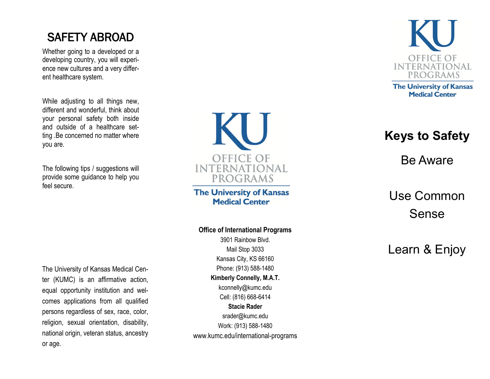## SAFETY ABROAD

Whether going to a developed or a developing country, you will experience new cultures and a very different healthcare system.

While adjusting to all things new, different and wonderful, think about your personal safety both inside and outside of a healthcare setting .Be concerned no matter where you are.

The following tips / suggestions will provide some guidance to help you feel secure.

The University of Kansas Medical Center (KUMC) is an affirmative action, equal opportunity institution and welcomes applications from all qualified persons regardless of sex, race, color, religion, sexual orientation, disability, national origin, veteran status, ancestry or age.



**The University of Kansas Medical Center** 

**Office of International Programs**

3901 Rainbow Blvd. Mail Stop 3033 Kansas City, KS 66160 Phone: (913) 588 -1480 **Kimberly Connelly, M.A.T.** kconnelly@kumc.edu Cell: (816) 668 -6414 **Stacie Rader** srader@kumc.edu Work: (913) 588 -1480 www.kumc.edu/international -programs



**Keys to Safety**

Be Aware

# Use Common Sense

## Learn & Enjoy